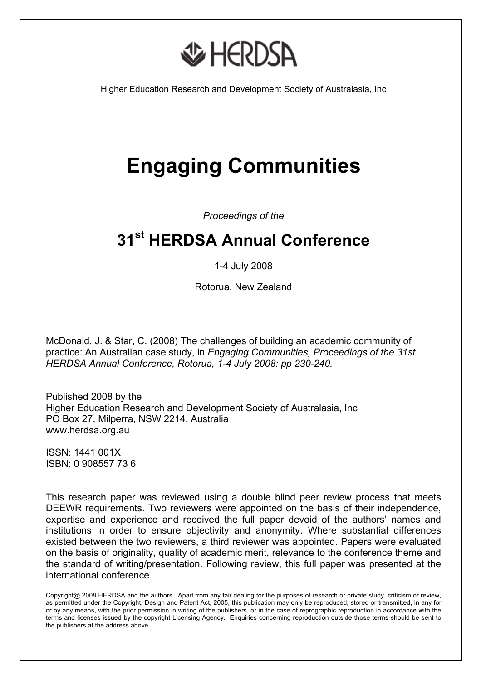

Higher Education Research and Development Society of Australasia, Inc

# **Engaging Communities**

*Proceedings of the* 

# **31st HERDSA Annual Conference**

1-4 July 2008

Rotorua, New Zealand

McDonald, J. & Star, C. (2008) The challenges of building an academic community of practice: An Australian case study, in *Engaging Communities, Proceedings of the 31st HERDSA Annual Conference, Rotorua, 1-4 July 2008: pp 230-240.*

Published 2008 by the Higher Education Research and Development Society of Australasia, Inc PO Box 27, Milperra, NSW 2214, Australia www.herdsa.org.au

ISSN: 1441 001X ISBN: 0 908557 73 6

This research paper was reviewed using a double blind peer review process that meets DEEWR requirements. Two reviewers were appointed on the basis of their independence, expertise and experience and received the full paper devoid of the authors' names and institutions in order to ensure objectivity and anonymity. Where substantial differences existed between the two reviewers, a third reviewer was appointed. Papers were evaluated on the basis of originality, quality of academic merit, relevance to the conference theme and the standard of writing/presentation. Following review, this full paper was presented at the international conference.

Copyright@ 2008 HERDSA and the authors. Apart from any fair dealing for the purposes of research or private study, criticism or review, as permitted under the Copyright, Design and Patent Act, 2005, this publication may only be reproduced, stored or transmitted, in any for or by any means, with the prior permission in writing of the publishers, or in the case of reprographic reproduction in accordance with the terms and licenses issued by the copyright Licensing Agency. Enquiries concerning reproduction outside those terms should be sent to the publishers at the address above.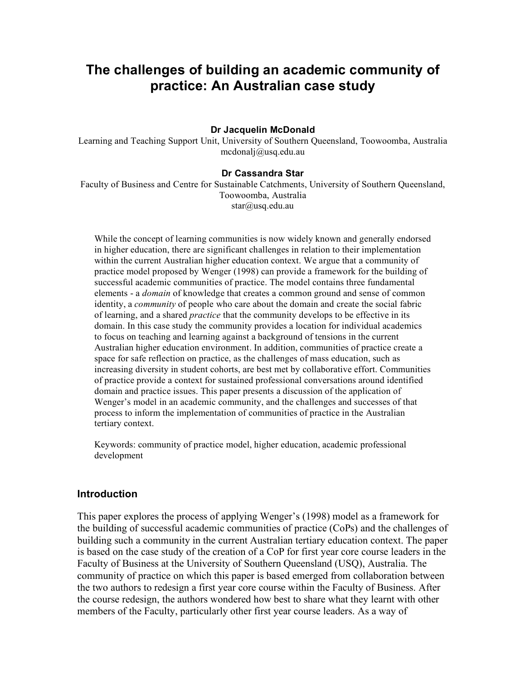# **The challenges of building an academic community of practice: An Australian case study**

#### **Dr Jacquelin McDonald**

Learning and Teaching Support Unit, University of Southern Queensland, Toowoomba, Australia mcdonalj@usq.edu.au

#### **Dr Cassandra Star**

Faculty of Business and Centre for Sustainable Catchments, University of Southern Queensland, Toowoomba, Australia star@usq.edu.au

While the concept of learning communities is now widely known and generally endorsed in higher education, there are significant challenges in relation to their implementation within the current Australian higher education context. We argue that a community of practice model proposed by Wenger (1998) can provide a framework for the building of successful academic communities of practice. The model contains three fundamental elements - a *domain* of knowledge that creates a common ground and sense of common identity, a *community* of people who care about the domain and create the social fabric of learning, and a shared *practice* that the community develops to be effective in its domain. In this case study the community provides a location for individual academics to focus on teaching and learning against a background of tensions in the current Australian higher education environment. In addition, communities of practice create a space for safe reflection on practice, as the challenges of mass education, such as increasing diversity in student cohorts, are best met by collaborative effort. Communities of practice provide a context for sustained professional conversations around identified domain and practice issues. This paper presents a discussion of the application of Wenger's model in an academic community, and the challenges and successes of that process to inform the implementation of communities of practice in the Australian tertiary context.

Keywords: community of practice model, higher education, academic professional development

#### **Introduction**

This paper explores the process of applying Wenger's (1998) model as a framework for the building of successful academic communities of practice (CoPs) and the challenges of building such a community in the current Australian tertiary education context. The paper is based on the case study of the creation of a CoP for first year core course leaders in the Faculty of Business at the University of Southern Queensland (USQ), Australia. The community of practice on which this paper is based emerged from collaboration between the two authors to redesign a first year core course within the Faculty of Business. After the course redesign, the authors wondered how best to share what they learnt with other members of the Faculty, particularly other first year course leaders. As a way of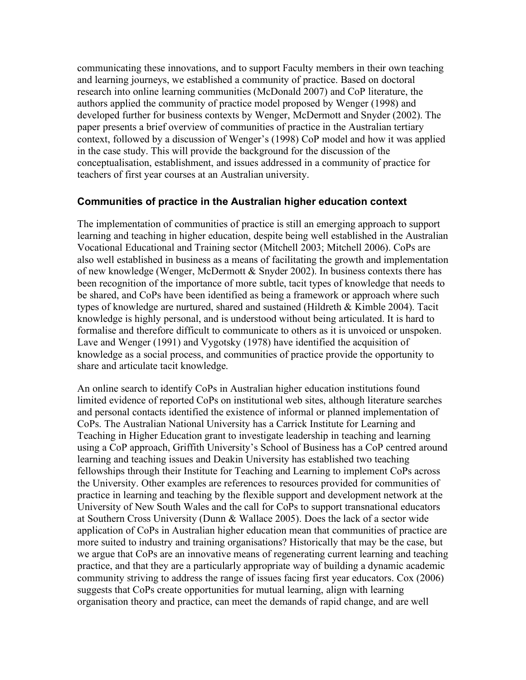communicating these innovations, and to support Faculty members in their own teaching and learning journeys, we established a community of practice. Based on doctoral research into online learning communities (McDonald 2007) and CoP literature, the authors applied the community of practice model proposed by Wenger (1998) and developed further for business contexts by Wenger, McDermott and Snyder (2002). The paper presents a brief overview of communities of practice in the Australian tertiary context, followed by a discussion of Wenger's (1998) CoP model and how it was applied in the case study. This will provide the background for the discussion of the conceptualisation, establishment, and issues addressed in a community of practice for teachers of first year courses at an Australian university.

#### **Communities of practice in the Australian higher education context**

The implementation of communities of practice is still an emerging approach to support learning and teaching in higher education, despite being well established in the Australian Vocational Educational and Training sector (Mitchell 2003; Mitchell 2006). CoPs are also well established in business as a means of facilitating the growth and implementation of new knowledge (Wenger, McDermott & Snyder 2002). In business contexts there has been recognition of the importance of more subtle, tacit types of knowledge that needs to be shared, and CoPs have been identified as being a framework or approach where such types of knowledge are nurtured, shared and sustained (Hildreth & Kimble 2004). Tacit knowledge is highly personal, and is understood without being articulated. It is hard to formalise and therefore difficult to communicate to others as it is unvoiced or unspoken. Lave and Wenger (1991) and Vygotsky (1978) have identified the acquisition of knowledge as a social process, and communities of practice provide the opportunity to share and articulate tacit knowledge.

An online search to identify CoPs in Australian higher education institutions found limited evidence of reported CoPs on institutional web sites, although literature searches and personal contacts identified the existence of informal or planned implementation of CoPs. The Australian National University has a Carrick Institute for Learning and Teaching in Higher Education grant to investigate leadership in teaching and learning using a CoP approach, Griffith University's School of Business has a CoP centred around learning and teaching issues and Deakin University has established two teaching fellowships through their Institute for Teaching and Learning to implement CoPs across the University. Other examples are references to resources provided for communities of practice in learning and teaching by the flexible support and development network at the University of New South Wales and the call for CoPs to support transnational educators at Southern Cross University (Dunn & Wallace 2005). Does the lack of a sector wide application of CoPs in Australian higher education mean that communities of practice are more suited to industry and training organisations? Historically that may be the case, but we argue that CoPs are an innovative means of regenerating current learning and teaching practice, and that they are a particularly appropriate way of building a dynamic academic community striving to address the range of issues facing first year educators. Cox (2006) suggests that CoPs create opportunities for mutual learning, align with learning organisation theory and practice, can meet the demands of rapid change, and are well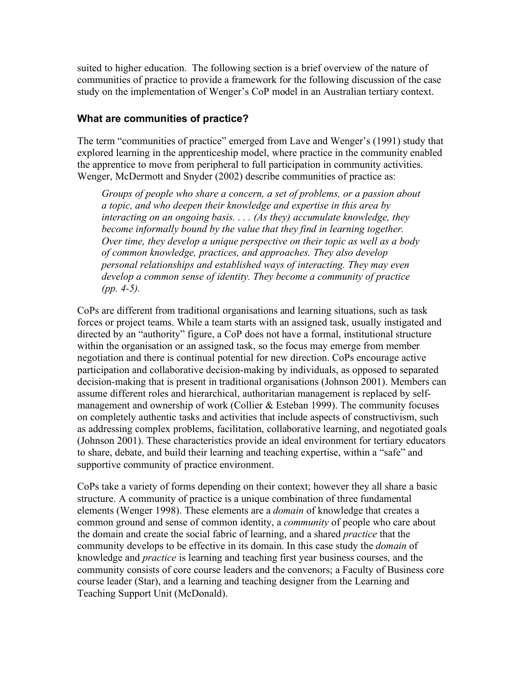suited to higher education. The following section is a brief overview of the nature of communities of practice to provide a framework for the following discussion of the case study on the implementation of Wenger's CoP model in an Australian tertiary context.

# **What are communities of practice?**

The term "communities of practice" emerged from Lave and Wenger's (1991) study that explored learning in the apprenticeship model, where practice in the community enabled the apprentice to move from peripheral to full participation in community activities. Wenger, McDermott and Snyder (2002) describe communities of practice as:

*Groups of people who share a concern, a set of problems, or a passion about a topic, and who deepen their knowledge and expertise in this area by interacting on an ongoing basis. . . . (As they) accumulate knowledge, they become informally bound by the value that they find in learning together. Over time, they develop a unique perspective on their topic as well as a body of common knowledge, practices, and approaches. They also develop personal relationships and established ways of interacting. They may even develop a common sense of identity. They become a community of practice (pp. 4-5).* 

CoPs are different from traditional organisations and learning situations, such as task forces or project teams. While a team starts with an assigned task, usually instigated and directed by an "authority" figure, a CoP does not have a formal, institutional structure within the organisation or an assigned task, so the focus may emerge from member negotiation and there is continual potential for new direction. CoPs encourage active participation and collaborative decision-making by individuals, as opposed to separated decision-making that is present in traditional organisations (Johnson 2001). Members can assume different roles and hierarchical, authoritarian management is replaced by selfmanagement and ownership of work (Collier & Esteban 1999). The community focuses on completely authentic tasks and activities that include aspects of constructivism, such as addressing complex problems, facilitation, collaborative learning, and negotiated goals (Johnson 2001). These characteristics provide an ideal environment for tertiary educators to share, debate, and build their learning and teaching expertise, within a "safe" and supportive community of practice environment.

CoPs take a variety of forms depending on their context; however they all share a basic structure. A community of practice is a unique combination of three fundamental elements (Wenger 1998). These elements are a *domain* of knowledge that creates a common ground and sense of common identity, a *community* of people who care about the domain and create the social fabric of learning, and a shared *practice* that the community develops to be effective in its domain. In this case study the *domain* of knowledge and *practice* is learning and teaching first year business courses, and the community consists of core course leaders and the convenors; a Faculty of Business core course leader (Star), and a learning and teaching designer from the Learning and Teaching Support Unit (McDonald).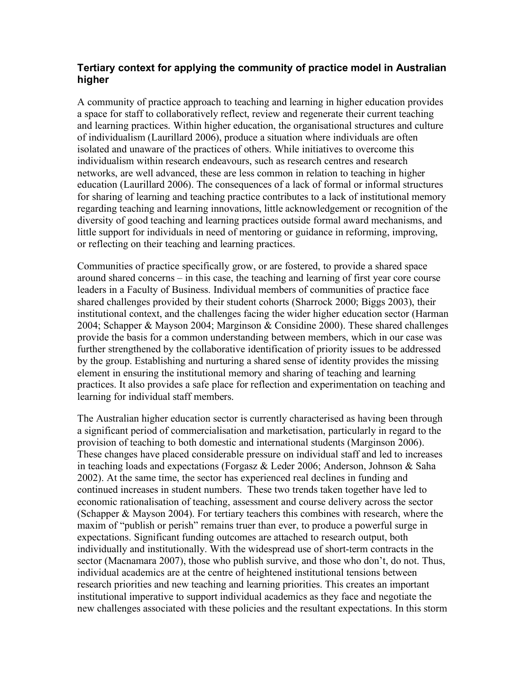# **Tertiary context for applying the community of practice model in Australian higher**

A community of practice approach to teaching and learning in higher education provides a space for staff to collaboratively reflect, review and regenerate their current teaching and learning practices. Within higher education, the organisational structures and culture of individualism (Laurillard 2006), produce a situation where individuals are often isolated and unaware of the practices of others. While initiatives to overcome this individualism within research endeavours, such as research centres and research networks, are well advanced, these are less common in relation to teaching in higher education (Laurillard 2006). The consequences of a lack of formal or informal structures for sharing of learning and teaching practice contributes to a lack of institutional memory regarding teaching and learning innovations, little acknowledgement or recognition of the diversity of good teaching and learning practices outside formal award mechanisms, and little support for individuals in need of mentoring or guidance in reforming, improving, or reflecting on their teaching and learning practices.

Communities of practice specifically grow, or are fostered, to provide a shared space around shared concerns – in this case, the teaching and learning of first year core course leaders in a Faculty of Business. Individual members of communities of practice face shared challenges provided by their student cohorts (Sharrock 2000; Biggs 2003), their institutional context, and the challenges facing the wider higher education sector (Harman 2004; Schapper & Mayson 2004; Marginson & Considine 2000). These shared challenges provide the basis for a common understanding between members, which in our case was further strengthened by the collaborative identification of priority issues to be addressed by the group. Establishing and nurturing a shared sense of identity provides the missing element in ensuring the institutional memory and sharing of teaching and learning practices. It also provides a safe place for reflection and experimentation on teaching and learning for individual staff members.

The Australian higher education sector is currently characterised as having been through a significant period of commercialisation and marketisation, particularly in regard to the provision of teaching to both domestic and international students (Marginson 2006). These changes have placed considerable pressure on individual staff and led to increases in teaching loads and expectations (Forgasz & Leder 2006; Anderson, Johnson & Saha 2002). At the same time, the sector has experienced real declines in funding and continued increases in student numbers. These two trends taken together have led to economic rationalisation of teaching, assessment and course delivery across the sector (Schapper & Mayson 2004). For tertiary teachers this combines with research, where the maxim of "publish or perish" remains truer than ever, to produce a powerful surge in expectations. Significant funding outcomes are attached to research output, both individually and institutionally. With the widespread use of short-term contracts in the sector (Macnamara 2007), those who publish survive, and those who don't, do not. Thus, individual academics are at the centre of heightened institutional tensions between research priorities and new teaching and learning priorities. This creates an important institutional imperative to support individual academics as they face and negotiate the new challenges associated with these policies and the resultant expectations. In this storm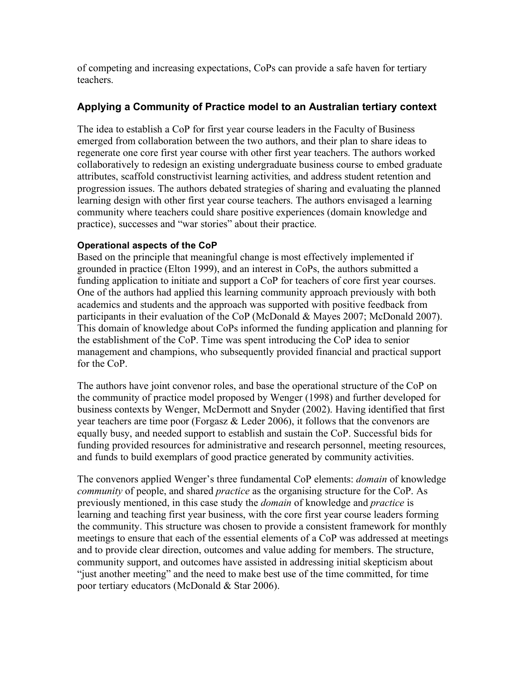of competing and increasing expectations, CoPs can provide a safe haven for tertiary teachers.

# **Applying a Community of Practice model to an Australian tertiary context**

The idea to establish a CoP for first year course leaders in the Faculty of Business emerged from collaboration between the two authors, and their plan to share ideas to regenerate one core first year course with other first year teachers. The authors worked collaboratively to redesign an existing undergraduate business course to embed graduate attributes, scaffold constructivist learning activities, and address student retention and progression issues. The authors debated strategies of sharing and evaluating the planned learning design with other first year course teachers. The authors envisaged a learning community where teachers could share positive experiences (domain knowledge and practice), successes and "war stories" about their practice.

## **Operational aspects of the CoP**

Based on the principle that meaningful change is most effectively implemented if grounded in practice (Elton 1999), and an interest in CoPs, the authors submitted a funding application to initiate and support a CoP for teachers of core first year courses. One of the authors had applied this learning community approach previously with both academics and students and the approach was supported with positive feedback from participants in their evaluation of the CoP (McDonald & Mayes 2007; McDonald 2007). This domain of knowledge about CoPs informed the funding application and planning for the establishment of the CoP. Time was spent introducing the CoP idea to senior management and champions, who subsequently provided financial and practical support for the CoP.

The authors have joint convenor roles, and base the operational structure of the CoP on the community of practice model proposed by Wenger (1998) and further developed for business contexts by Wenger, McDermott and Snyder (2002). Having identified that first year teachers are time poor (Forgasz & Leder 2006), it follows that the convenors are equally busy, and needed support to establish and sustain the CoP. Successful bids for funding provided resources for administrative and research personnel, meeting resources, and funds to build exemplars of good practice generated by community activities.

The convenors applied Wenger's three fundamental CoP elements: *domain* of knowledge *community* of people, and shared *practice* as the organising structure for the CoP. As previously mentioned, in this case study the *domain* of knowledge and *practice* is learning and teaching first year business, with the core first year course leaders forming the community. This structure was chosen to provide a consistent framework for monthly meetings to ensure that each of the essential elements of a CoP was addressed at meetings and to provide clear direction, outcomes and value adding for members. The structure, community support, and outcomes have assisted in addressing initial skepticism about "just another meeting" and the need to make best use of the time committed, for time poor tertiary educators (McDonald & Star 2006).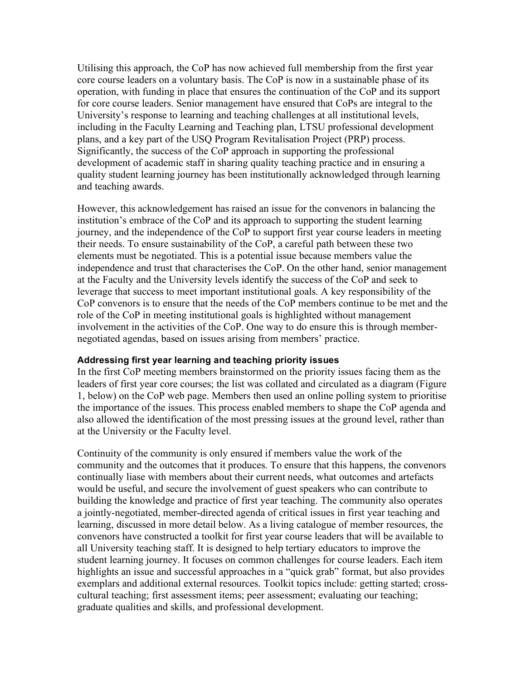Utilising this approach, the CoP has now achieved full membership from the first year core course leaders on a voluntary basis. The CoP is now in a sustainable phase of its operation, with funding in place that ensures the continuation of the CoP and its support for core course leaders. Senior management have ensured that CoPs are integral to the University's response to learning and teaching challenges at all institutional levels, including in the Faculty Learning and Teaching plan, LTSU professional development plans, and a key part of the USQ Program Revitalisation Project (PRP) process. Significantly, the success of the CoP approach in supporting the professional development of academic staff in sharing quality teaching practice and in ensuring a quality student learning journey has been institutionally acknowledged through learning and teaching awards.

However, this acknowledgement has raised an issue for the convenors in balancing the institution's embrace of the CoP and its approach to supporting the student learning journey, and the independence of the CoP to support first year course leaders in meeting their needs. To ensure sustainability of the CoP, a careful path between these two elements must be negotiated. This is a potential issue because members value the independence and trust that characterises the CoP. On the other hand, senior management at the Faculty and the University levels identify the success of the CoP and seek to leverage that success to meet important institutional goals. A key responsibility of the CoP convenors is to ensure that the needs of the CoP members continue to be met and the role of the CoP in meeting institutional goals is highlighted without management involvement in the activities of the CoP. One way to do ensure this is through membernegotiated agendas, based on issues arising from members' practice.

### **Addressing first year learning and teaching priority issues**

In the first CoP meeting members brainstormed on the priority issues facing them as the leaders of first year core courses; the list was collated and circulated as a diagram (Figure 1, below) on the CoP web page. Members then used an online polling system to prioritise the importance of the issues. This process enabled members to shape the CoP agenda and also allowed the identification of the most pressing issues at the ground level, rather than at the University or the Faculty level.

Continuity of the community is only ensured if members value the work of the community and the outcomes that it produces. To ensure that this happens, the convenors continually liase with members about their current needs, what outcomes and artefacts would be useful, and secure the involvement of guest speakers who can contribute to building the knowledge and practice of first year teaching. The community also operates a jointly-negotiated, member-directed agenda of critical issues in first year teaching and learning, discussed in more detail below. As a living catalogue of member resources, the convenors have constructed a toolkit for first year course leaders that will be available to all University teaching staff. It is designed to help tertiary educators to improve the student learning journey. It focuses on common challenges for course leaders. Each item highlights an issue and successful approaches in a "quick grab" format, but also provides exemplars and additional external resources. Toolkit topics include: getting started; crosscultural teaching; first assessment items; peer assessment; evaluating our teaching; graduate qualities and skills, and professional development.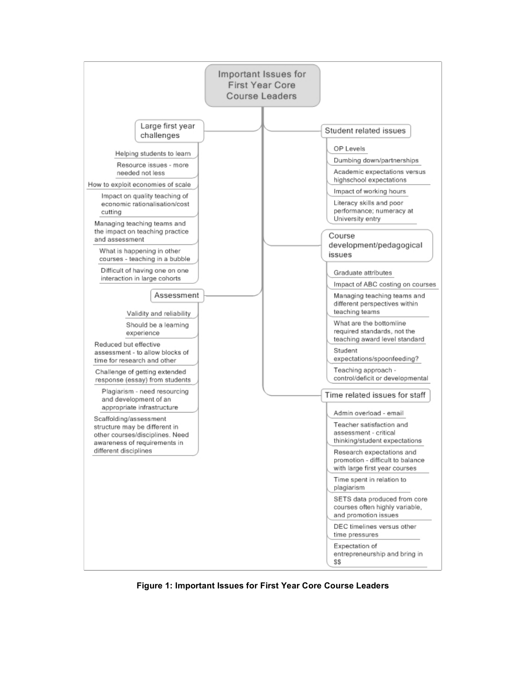

**Figure 1: Important Issues for First Year Core Course Leaders**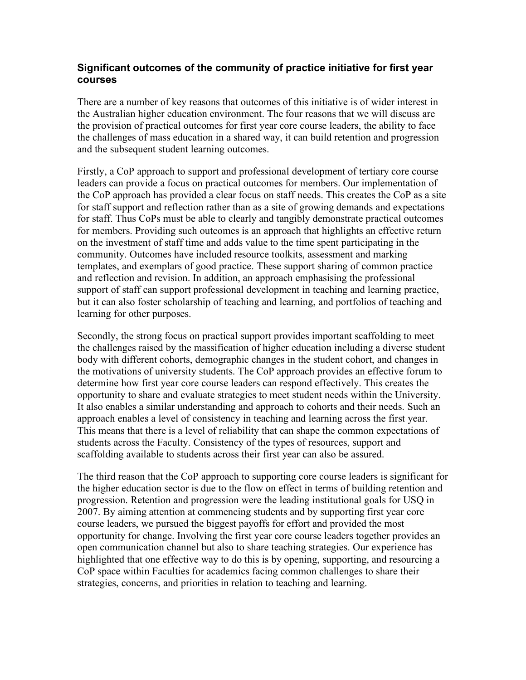# **Significant outcomes of the community of practice initiative for first year courses**

There are a number of key reasons that outcomes of this initiative is of wider interest in the Australian higher education environment. The four reasons that we will discuss are the provision of practical outcomes for first year core course leaders, the ability to face the challenges of mass education in a shared way, it can build retention and progression and the subsequent student learning outcomes.

Firstly, a CoP approach to support and professional development of tertiary core course leaders can provide a focus on practical outcomes for members. Our implementation of the CoP approach has provided a clear focus on staff needs. This creates the CoP as a site for staff support and reflection rather than as a site of growing demands and expectations for staff. Thus CoPs must be able to clearly and tangibly demonstrate practical outcomes for members. Providing such outcomes is an approach that highlights an effective return on the investment of staff time and adds value to the time spent participating in the community. Outcomes have included resource toolkits, assessment and marking templates, and exemplars of good practice. These support sharing of common practice and reflection and revision. In addition, an approach emphasising the professional support of staff can support professional development in teaching and learning practice, but it can also foster scholarship of teaching and learning, and portfolios of teaching and learning for other purposes.

Secondly, the strong focus on practical support provides important scaffolding to meet the challenges raised by the massification of higher education including a diverse student body with different cohorts, demographic changes in the student cohort, and changes in the motivations of university students. The CoP approach provides an effective forum to determine how first year core course leaders can respond effectively. This creates the opportunity to share and evaluate strategies to meet student needs within the University. It also enables a similar understanding and approach to cohorts and their needs. Such an approach enables a level of consistency in teaching and learning across the first year. This means that there is a level of reliability that can shape the common expectations of students across the Faculty. Consistency of the types of resources, support and scaffolding available to students across their first year can also be assured.

The third reason that the CoP approach to supporting core course leaders is significant for the higher education sector is due to the flow on effect in terms of building retention and progression. Retention and progression were the leading institutional goals for USQ in 2007. By aiming attention at commencing students and by supporting first year core course leaders, we pursued the biggest payoffs for effort and provided the most opportunity for change. Involving the first year core course leaders together provides an open communication channel but also to share teaching strategies. Our experience has highlighted that one effective way to do this is by opening, supporting, and resourcing a CoP space within Faculties for academics facing common challenges to share their strategies, concerns, and priorities in relation to teaching and learning.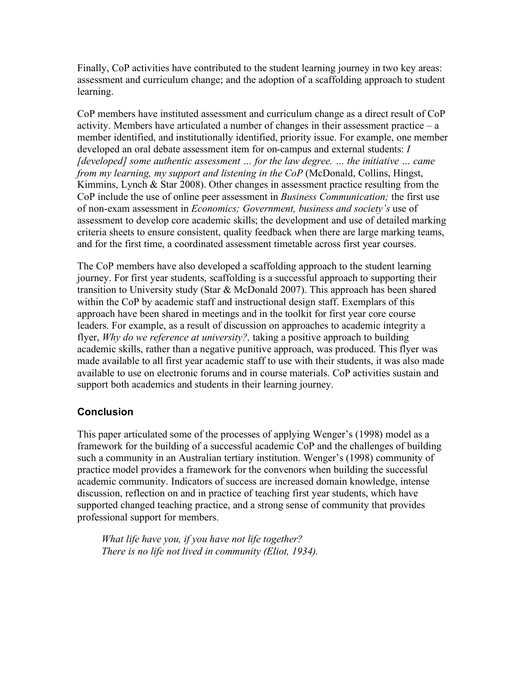Finally, CoP activities have contributed to the student learning journey in two key areas: assessment and curriculum change; and the adoption of a scaffolding approach to student learning.

CoP members have instituted assessment and curriculum change as a direct result of CoP activity. Members have articulated a number of changes in their assessment practice – a member identified, and institutionally identified, priority issue. For example, one member developed an oral debate assessment item for on-campus and external students: *I [developed] some authentic assessment … for the law degree. … the initiative … came from my learning, my support and listening in the CoP* (McDonald, Collins, Hingst, Kimmins, Lynch & Star 2008). Other changes in assessment practice resulting from the CoP include the use of online peer assessment in *Business Communication;* the first use of non-exam assessment in *Economics; Government, business and society's* use of assessment to develop core academic skills; the development and use of detailed marking criteria sheets to ensure consistent, quality feedback when there are large marking teams, and for the first time, a coordinated assessment timetable across first year courses.

The CoP members have also developed a scaffolding approach to the student learning journey. For first year students, scaffolding is a successful approach to supporting their transition to University study (Star & McDonald 2007). This approach has been shared within the CoP by academic staff and instructional design staff. Exemplars of this approach have been shared in meetings and in the toolkit for first year core course leaders. For example, as a result of discussion on approaches to academic integrity a flyer, *Why do we reference at university?,* taking a positive approach to building academic skills, rather than a negative punitive approach, was produced. This flyer was made available to all first year academic staff to use with their students, it was also made available to use on electronic forums and in course materials. CoP activities sustain and support both academics and students in their learning journey.

# **Conclusion**

This paper articulated some of the processes of applying Wenger's (1998) model as a framework for the building of a successful academic CoP and the challenges of building such a community in an Australian tertiary institution. Wenger's (1998) community of practice model provides a framework for the convenors when building the successful academic community. Indicators of success are increased domain knowledge, intense discussion, reflection on and in practice of teaching first year students, which have supported changed teaching practice, and a strong sense of community that provides professional support for members.

*What life have you, if you have not life together? There is no life not lived in community (Eliot, 1934).*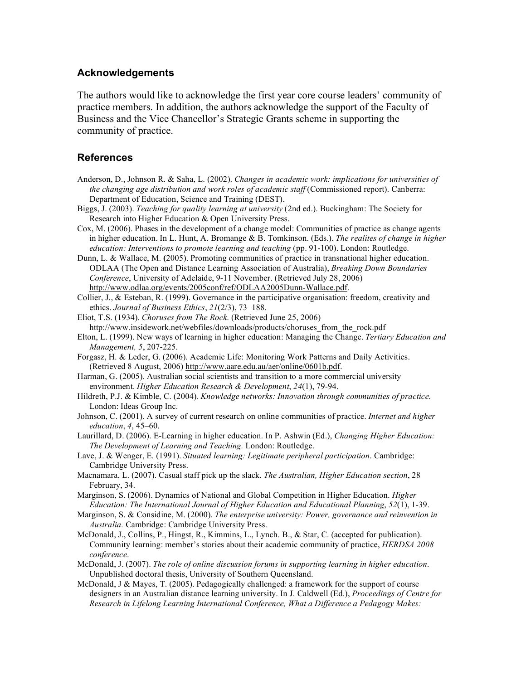#### **Acknowledgements**

The authors would like to acknowledge the first year core course leaders' community of practice members. In addition, the authors acknowledge the support of the Faculty of Business and the Vice Chancellor's Strategic Grants scheme in supporting the community of practice.

#### **References**

- Anderson, D., Johnson R. & Saha, L. (2002). *Changes in academic work: implications for universities of the changing age distribution and work roles of academic staff* (Commissioned report). Canberra: Department of Education, Science and Training (DEST).
- Biggs, J. (2003). *Teaching for quality learning at university* (2nd ed.). Buckingham: The Society for Research into Higher Education & Open University Press.
- Cox, M. (2006). Phases in the development of a change model: Communities of practice as change agents in higher education. In L. Hunt, A. Bromange & B. Tomkinson. (Eds.). *The realites of change in higher education: Interventions to promote learning and teaching (pp. 91-100). London: Routledge.*
- Dunn, L. & Wallace, M. **(**2005). Promoting communities of practice in transnational higher education. ODLAA (The Open and Distance Learning Association of Australia), *Breaking Down Boundaries Conference*, University of Adelaide, 9-11 November. (Retrieved July 28, 2006) http://www.odlaa.org/events/2005conf/ref/ODLAA2005Dunn-Wallace.pdf.

Collier, J., & Esteban, R. (1999). Governance in the participative organisation: freedom, creativity and ethics. *Journal of Business Ethics*, *21*(2/3), 73–188.

- Eliot, T.S. (1934). *Choruses from The Rock*. (Retrieved June 25, 2006) http://www.insidework.net/webfiles/downloads/products/choruses\_from\_the\_rock.pdf
- Elton, L. (1999). New ways of learning in higher education: Managing the Change. *Tertiary Education and Management, 5*, 207-225.
- Forgasz, H. & Leder, G. (2006). Academic Life: Monitoring Work Patterns and Daily Activities. (Retrieved 8 August, 2006) http://www.aare.edu.au/aer/online/0601b.pdf.
- Harman, G. (2005). Australian social scientists and transition to a more commercial university environment. *Higher Education Research & Development*, *24*(1), 79-94.
- Hildreth, P.J. & Kimble, C. (2004). *Knowledge networks: Innovation through communities of practice*. London: Ideas Group Inc.
- Johnson, C. (2001). A survey of current research on online communities of practice. *Internet and higher education*, *4*, 45–60.
- Laurillard, D. (2006). E-Learning in higher education. In P. Ashwin (Ed.), *Changing Higher Education: The Development of Learning and Teaching.* London: Routledge.
- Lave, J. & Wenger, E. (1991). *Situated learning: Legitimate peripheral participation*. Cambridge: Cambridge University Press.
- Macnamara, L. (2007). Casual staff pick up the slack. *The Australian, Higher Education section*, 28 February, 34.
- Marginson, S. (2006). Dynamics of National and Global Competition in Higher Education. *Higher Education: The International Journal of Higher Education and Educational Planning*, *52*(1), 1-39.
- Marginson, S. & Considine, M. (2000). *The enterprise university: Power, governance and reinvention in Australia.* Cambridge: Cambridge University Press.
- McDonald, J., Collins, P., Hingst, R., Kimmins, L., Lynch. B., & Star, C. (accepted for publication). Community learning: member's stories about their academic community of practice, *HERDSA 2008 conference*.
- McDonald, J. (2007). *The role of online discussion forums in supporting learning in higher education*. Unpublished doctoral thesis, University of Southern Queensland.
- McDonald, J & Mayes, T. (2005). Pedagogically challenged: a framework for the support of course designers in an Australian distance learning university. In J. Caldwell (Ed.), *Proceedings of Centre for Research in Lifelong Learning International Conference, What a Difference a Pedagogy Makes:*